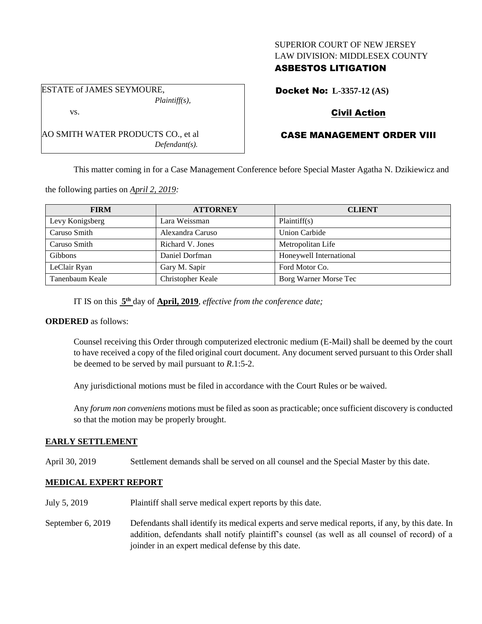## SUPERIOR COURT OF NEW JERSEY LAW DIVISION: MIDDLESEX COUNTY

## ASBESTOS LITIGATION

ESTATE of JAMES SEYMOURE, *Plaintiff(s),*

AO SMITH WATER PRODUCTS CO., et al

vs.

*Defendant(s).*

Docket No: **L-3357-12 (AS)**

# Civil Action

# CASE MANAGEMENT ORDER VIII

This matter coming in for a Case Management Conference before Special Master Agatha N. Dzikiewicz and

the following parties on *April 2, 2019:*

| <b>FIRM</b>     | <b>ATTORNEY</b>   | <b>CLIENT</b>           |
|-----------------|-------------------|-------------------------|
| Levy Konigsberg | Lara Weissman     | Plaintiff(s)            |
| Caruso Smith    | Alexandra Caruso  | <b>Union Carbide</b>    |
| Caruso Smith    | Richard V. Jones  | Metropolitan Life       |
| Gibbons         | Daniel Dorfman    | Honeywell International |
| LeClair Ryan    | Gary M. Sapir     | Ford Motor Co.          |
| Tanenbaum Keale | Christopher Keale | Borg Warner Morse Tec   |

IT IS on this  $5<sup>th</sup>$  day of **April, 2019**, *effective from the conference date*;

#### **ORDERED** as follows:

Counsel receiving this Order through computerized electronic medium (E-Mail) shall be deemed by the court to have received a copy of the filed original court document. Any document served pursuant to this Order shall be deemed to be served by mail pursuant to *R*.1:5-2.

Any jurisdictional motions must be filed in accordance with the Court Rules or be waived.

Any *forum non conveniens* motions must be filed as soon as practicable; once sufficient discovery is conducted so that the motion may be properly brought.

## **EARLY SETTLEMENT**

April 30, 2019 Settlement demands shall be served on all counsel and the Special Master by this date.

## **MEDICAL EXPERT REPORT**

- July 5, 2019 Plaintiff shall serve medical expert reports by this date.
- September 6, 2019 Defendants shall identify its medical experts and serve medical reports, if any, by this date. In addition, defendants shall notify plaintiff's counsel (as well as all counsel of record) of a joinder in an expert medical defense by this date.